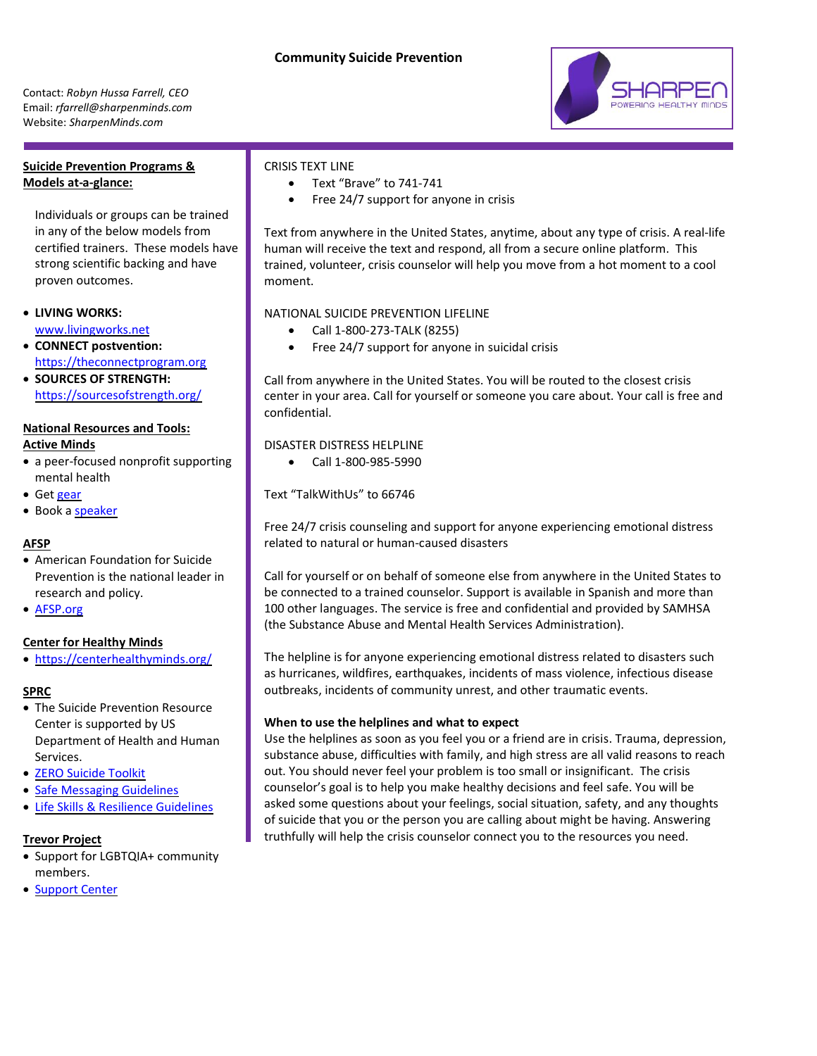Contact: *Robyn Hussa Farrell, CEO* Email: *rfarrell@sharpenminds.com* Website: *SharpenMinds.com*

# **Suicide Prevention Programs & Models at-a-glance:**

Individuals or groups can be trained in any of the below models from certified trainers. These models have strong scientific backing and have proven outcomes.

- **LIVING WORKS:** [www.livingworks.net](http://www.livingworks.net/)
- **CONNECT postvention:** [https://theconnectprogram.org](https://theconnectprogram.org/)
- **SOURCES OF STRENGTH:** <https://sourcesofstrength.org/>

### **National Resources and Tools:**

#### **Active Minds**

- a peer-focused nonprofit supporting mental health
- Get [gear](https://www.activeminds.org/blog/new-fall-gear-from-the-active-minds-shop/?gclid=EAIaIQobChMIldHoxNTI6wIVE4paBR2nnQk2EAAYASAAEgJ6vPD_BwE)
- Book a [speaker](https://www.activeminds.org/programs/am-speakers/)

### **AFSP**

- American Foundation for Suicide Prevention is the national leader in research and policy.
- [AFSP.org](https://afsp.org/)

### **Center for Healthy Minds**

• <https://centerhealthyminds.org/>

### **SPRC**

- The Suicide Prevention Resource Center is supported by US Department of Health and Human Services.
- [ZERO Suicide Toolkit](http://zerosuicide.edc.org/toolkit)
- [Safe Messaging Guidelines](http://www.sprc.org/sites/default/files/migrate/library/SafeMessagingrevised.pdf)
- [Life Skills & Resilience Guidelines](https://www.sprc.org/comprehensive-approach/life-skills)

### **Trevor Project**

- Support for LGBTQIA+ community members.
- [Support Center](https://www.thetrevorproject.org/resources/trevor-support-center/)

# CRISIS TEXT LINE

- Text "Brave" to 741-741
- Free 24/7 support for anyone in crisis

Text from anywhere in the United States, anytime, about any type of crisis. A real-life human will receive the text and respond, all from a secure online platform. This trained, volunteer, crisis counselor will help you move from a hot moment to a cool moment.

### NATIONAL SUICIDE PREVENTION LIFELINE

- Call 1-800-273-TALK (8255)
- Free 24/7 support for anyone in suicidal crisis

Call from anywhere in the United States. You will be routed to the closest crisis center in your area. Call for yourself or someone you care about. Your call is free and confidential.

DISASTER DISTRESS HELPLINE

• Call 1-800-985-5990

Text "TalkWithUs" to 66746

Free 24/7 crisis counseling and support for anyone experiencing emotional distress related to natural or human-caused disasters

Call for yourself or on behalf of someone else from anywhere in the United States to be connected to a trained counselor. Support is available in Spanish and more than 100 other languages. The service is free and confidential and provided by SAMHSA (the Substance Abuse and Mental Health Services Administration).

The helpline is for anyone experiencing emotional distress related to disasters such as hurricanes, wildfires, earthquakes, incidents of mass violence, infectious disease outbreaks, incidents of community unrest, and other traumatic events.

### **When to use the helplines and what to expect**

Use the helplines as soon as you feel you or a friend are in crisis. Trauma, depression, substance abuse, difficulties with family, and high stress are all valid reasons to reach out. You should never feel your problem is too small or insignificant. The crisis counselor's goal is to help you make healthy decisions and feel safe. You will be asked some questions about your feelings, social situation, safety, and any thoughts of suicide that you or the person you are calling about might be having. Answering truthfully will help the crisis counselor connect you to the resources you need.